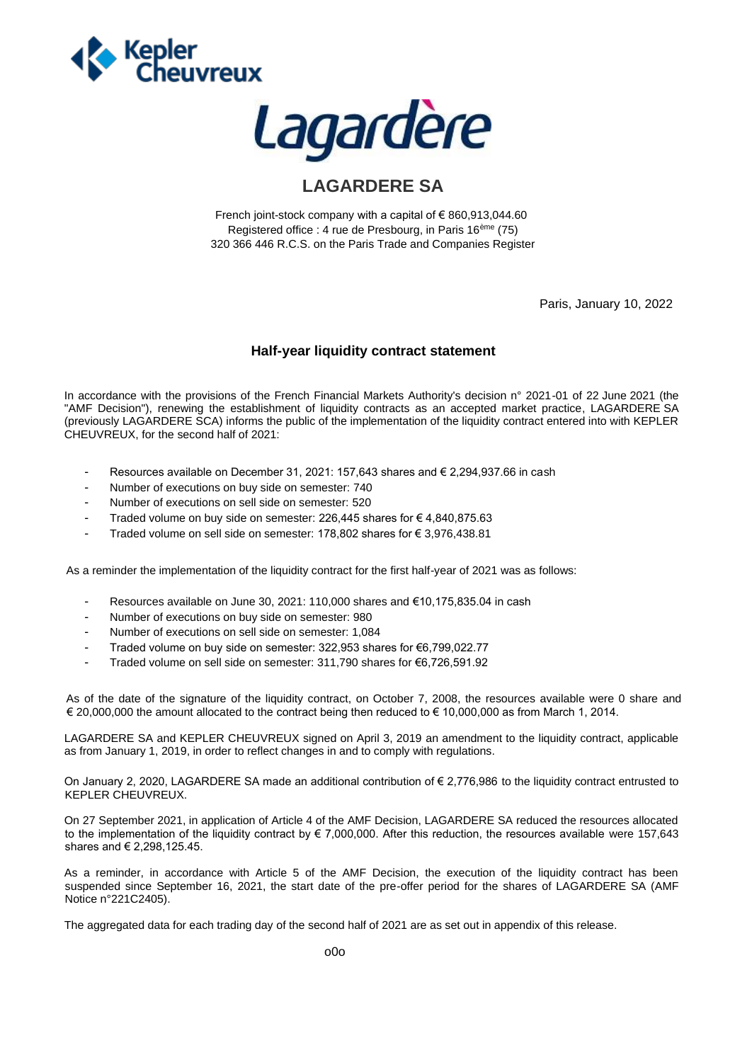



## **LAGARDERE SA**

French joint-stock company with a capital of € 860,913,044.60 Registered office : 4 rue de Presbourg, in Paris 16ème (75) 320 366 446 R.C.S. on the Paris Trade and Companies Register

Paris, January 10, 2022

## **Half-year liquidity contract statement**

In accordance with the provisions of the French Financial Markets Authority's decision n° 2021-01 of 22 June 2021 (the "AMF Decision"), renewing the establishment of liquidity contracts as an accepted market practice, LAGARDERE SA (previously LAGARDERE SCA) informs the public of the implementation of the liquidity contract entered into with KEPLER CHEUVREUX, for the second half of 2021:

- Resources available on December 31, 2021: 157,643 shares and  $\in$  2,294,937.66 in cash
- Number of executions on buy side on semester: 740
- Number of executions on sell side on semester: 520
- Traded volume on buy side on semester: 226,445 shares for  $\epsilon$  4,840,875.63
- Traded volume on sell side on semester: 178,802 shares for € 3,976,438.81

As a reminder the implementation of the liquidity contract for the first half-year of 2021 was as follows:

- Resources available on June 30, 2021: 110,000 shares and €10,175,835.04 in cash
- Number of executions on buy side on semester: 980
- Number of executions on sell side on semester: 1,084
- Traded volume on buy side on semester: 322,953 shares for €6,799,022.77
- Traded volume on sell side on semester: 311,790 shares for €6,726,591.92

As of the date of the signature of the liquidity contract, on October 7, 2008, the resources available were 0 share and € 20,000,000 the amount allocated to the contract being then reduced to € 10,000,000 as from March 1, 2014.

LAGARDERE SA and KEPLER CHEUVREUX signed on April 3, 2019 an amendment to the liquidity contract, applicable as from January 1, 2019, in order to reflect changes in and to comply with regulations.

On January 2, 2020, LAGARDERE SA made an additional contribution of € 2,776,986 to the liquidity contract entrusted to KEPLER CHEUVREUX.

On 27 September 2021, in application of Article 4 of the AMF Decision, LAGARDERE SA reduced the resources allocated to the implementation of the liquidity contract by € 7,000,000. After this reduction, the resources available were 157,643 shares and € 2,298,125.45.

As a reminder, in accordance with Article 5 of the AMF Decision, the execution of the liquidity contract has been suspended since September 16, 2021, the start date of the pre-offer period for the shares of LAGARDERE SA (AMF Notice n°221C2405).

The aggregated data for each trading day of the second half of 2021 are as set out in appendix of this release.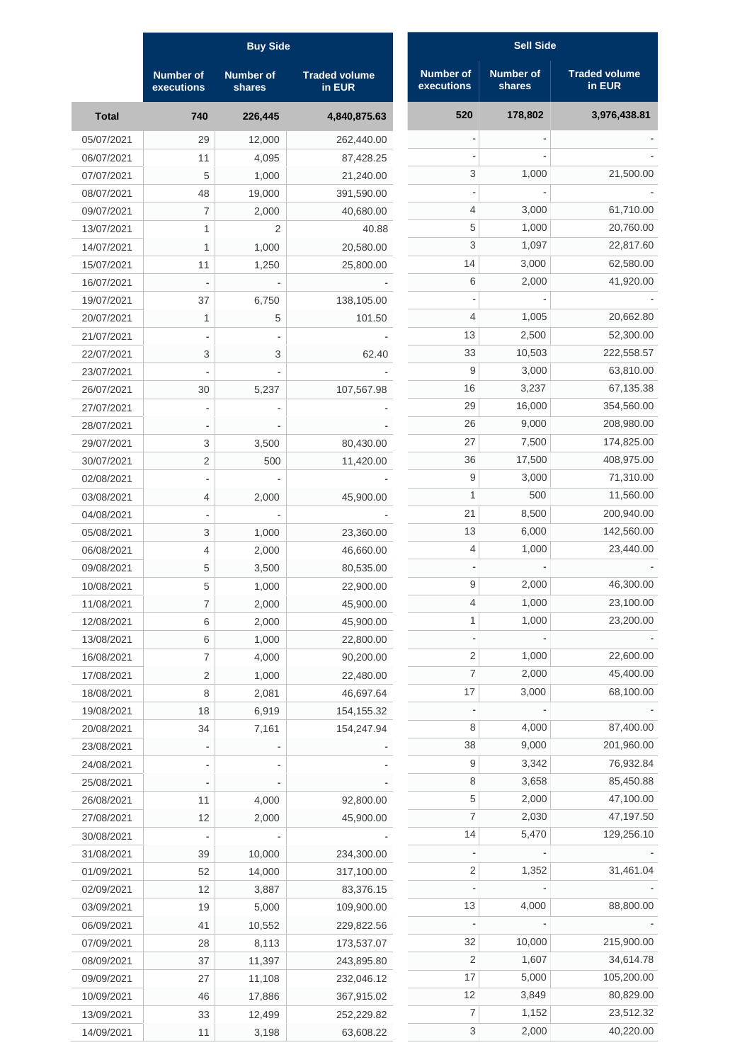| <b>Sell Side</b>               |                            |                                |  |  |  |  |  |
|--------------------------------|----------------------------|--------------------------------|--|--|--|--|--|
| <b>Number of</b><br>executions | <b>Number of</b><br>shares | <b>Traded volume</b><br>in EUR |  |  |  |  |  |
| 520                            | 178,802                    | 3,976,438.81                   |  |  |  |  |  |
|                                |                            |                                |  |  |  |  |  |
|                                |                            |                                |  |  |  |  |  |
| 3                              | 1,000                      | 21,500.00                      |  |  |  |  |  |
|                                |                            |                                |  |  |  |  |  |
| 4                              | 3,000                      | 61,710.00                      |  |  |  |  |  |
| 5                              | 1,000                      | 20,760.00                      |  |  |  |  |  |
| 3                              | 1,097                      | 22,817.60                      |  |  |  |  |  |
| 14                             | 3,000                      | 62,580.00                      |  |  |  |  |  |
| 6                              | 2,000                      | 41,920.00                      |  |  |  |  |  |
|                                |                            |                                |  |  |  |  |  |
| 4                              | 1,005                      | 20,662.80                      |  |  |  |  |  |
| 13                             | 2,500                      | 52,300.00                      |  |  |  |  |  |
| 33                             | 10,503                     | 222,558.57                     |  |  |  |  |  |
| 9                              | 3,000                      | 63,810.00                      |  |  |  |  |  |
| 16                             | 3,237                      | 67,135.38                      |  |  |  |  |  |
| 29                             | 16,000                     | 354,560.00                     |  |  |  |  |  |
| 26                             | 9,000                      | 208,980.00                     |  |  |  |  |  |
| 27                             | 7,500                      | 174,825.00                     |  |  |  |  |  |
| 36                             | 17,500                     | 408,975.00                     |  |  |  |  |  |
| 9                              | 3,000                      | 71,310.00                      |  |  |  |  |  |
| 1                              | 500                        | 11,560.00                      |  |  |  |  |  |
| 21                             | 8,500                      | 200,940.00                     |  |  |  |  |  |
| 13                             | 6,000                      | 142,560.00                     |  |  |  |  |  |
| 4                              | 1,000                      | 23,440.00                      |  |  |  |  |  |
|                                |                            |                                |  |  |  |  |  |
| 9                              | 2,000                      | 46,300.00                      |  |  |  |  |  |
| 4                              | 1,000                      | 23,100.00                      |  |  |  |  |  |
| 1                              | 1,000                      | 23,200.00                      |  |  |  |  |  |
|                                |                            |                                |  |  |  |  |  |
| 2                              | 1,000                      | 22,600.00                      |  |  |  |  |  |
| 7                              | 2,000                      | 45,400.00                      |  |  |  |  |  |
| 17                             | 3,000                      | 68,100.00                      |  |  |  |  |  |
|                                |                            |                                |  |  |  |  |  |
| 8                              | 4,000                      | 87,400.00                      |  |  |  |  |  |
| 38                             | 9,000                      | 201,960.00                     |  |  |  |  |  |
| 9                              | 3,342                      | 76,932.84                      |  |  |  |  |  |
| 8                              | 3,658                      | 85,450.88                      |  |  |  |  |  |
| 5                              | 2,000                      | 47,100.00                      |  |  |  |  |  |
| 7                              | 2,030                      | 47,197.50                      |  |  |  |  |  |
| 14                             | 5,470                      | 129,256.10                     |  |  |  |  |  |
|                                |                            |                                |  |  |  |  |  |
| 2                              | 1,352                      | 31,461.04                      |  |  |  |  |  |
|                                |                            |                                |  |  |  |  |  |
| 13                             | 4,000                      | 88,800.00                      |  |  |  |  |  |
|                                |                            |                                |  |  |  |  |  |
| 32                             | 10,000                     | 215,900.00                     |  |  |  |  |  |
| 2                              | 1,607                      | 34,614.78                      |  |  |  |  |  |
| 17                             | 5,000                      | 105,200.00                     |  |  |  |  |  |
| 12                             | 3,849                      | 80,829.00                      |  |  |  |  |  |
| 7                              | 1,152                      | 23,512.32                      |  |  |  |  |  |
| 3                              | 2,000                      | 40,220.00                      |  |  |  |  |  |

|              | <b>Buy Side</b>                |                            |                                |  |  |  |  |  |
|--------------|--------------------------------|----------------------------|--------------------------------|--|--|--|--|--|
|              | <b>Number of</b><br>executions | <b>Number of</b><br>shares | <b>Traded volume</b><br>in EUR |  |  |  |  |  |
| <b>Total</b> | 740                            | 226,445                    | 4,840,875.63                   |  |  |  |  |  |
| 05/07/2021   | 29                             | 12,000                     | 262,440.00                     |  |  |  |  |  |
| 06/07/2021   | 11                             | 4,095                      | 87,428.25                      |  |  |  |  |  |
| 07/07/2021   | 5                              | 1,000                      | 21,240.00                      |  |  |  |  |  |
| 08/07/2021   | 48                             | 19,000                     | 391,590.00                     |  |  |  |  |  |
| 09/07/2021   | 7                              | 2,000                      | 40,680.00                      |  |  |  |  |  |
| 13/07/2021   | 1                              | 2                          | 40.88                          |  |  |  |  |  |
| 14/07/2021   | 1                              | 1,000                      | 20,580.00                      |  |  |  |  |  |
| 15/07/2021   | 11                             | 1,250                      | 25,800.00                      |  |  |  |  |  |
| 16/07/2021   |                                |                            |                                |  |  |  |  |  |
| 19/07/2021   | 37                             | 6,750                      | 138,105.00                     |  |  |  |  |  |
| 20/07/2021   | 1                              | 5                          | 101.50                         |  |  |  |  |  |
| 21/07/2021   |                                |                            |                                |  |  |  |  |  |
| 22/07/2021   | 3                              | 3                          | 62.40                          |  |  |  |  |  |
| 23/07/2021   |                                |                            |                                |  |  |  |  |  |
| 26/07/2021   | 30                             | 5,237                      | 107,567.98                     |  |  |  |  |  |
| 27/07/2021   |                                |                            |                                |  |  |  |  |  |
|              |                                |                            |                                |  |  |  |  |  |
| 28/07/2021   |                                |                            |                                |  |  |  |  |  |
| 29/07/2021   | 3                              | 3,500                      | 80,430.00                      |  |  |  |  |  |
| 30/07/2021   | 2                              | 500                        | 11,420.00                      |  |  |  |  |  |
| 02/08/2021   |                                |                            |                                |  |  |  |  |  |
| 03/08/2021   | 4                              | 2,000                      | 45,900.00                      |  |  |  |  |  |
| 04/08/2021   |                                |                            |                                |  |  |  |  |  |
| 05/08/2021   | 3                              | 1,000                      | 23,360.00                      |  |  |  |  |  |
| 06/08/2021   | 4                              | 2,000                      | 46,660.00                      |  |  |  |  |  |
| 09/08/2021   | 5                              | 3,500                      | 80,535.00                      |  |  |  |  |  |
| 10/08/2021   | 5                              | 1,000                      | 22,900.00                      |  |  |  |  |  |
| 11/08/2021   | 7                              | 2,000                      | 45,900.00                      |  |  |  |  |  |
| 12/08/2021   | 6                              | 2,000                      | 45,900.00                      |  |  |  |  |  |
| 13/08/2021   | 6                              | 1,000                      | 22,800.00                      |  |  |  |  |  |
| 16/08/2021   | 7                              | 4,000                      | 90,200.00                      |  |  |  |  |  |
| 17/08/2021   | 2                              | 1,000                      | 22,480.00                      |  |  |  |  |  |
| 18/08/2021   | 8                              | 2,081                      | 46,697.64                      |  |  |  |  |  |
| 19/08/2021   | 18                             | 6,919                      | 154, 155.32                    |  |  |  |  |  |
| 20/08/2021   | 34                             | 7,161                      | 154,247.94                     |  |  |  |  |  |
| 23/08/2021   |                                |                            |                                |  |  |  |  |  |
| 24/08/2021   |                                |                            |                                |  |  |  |  |  |
| 25/08/2021   |                                |                            |                                |  |  |  |  |  |
| 26/08/2021   | 11                             | 4,000                      | 92,800.00                      |  |  |  |  |  |
| 27/08/2021   | 12                             | 2,000                      | 45,900.00                      |  |  |  |  |  |
| 30/08/2021   |                                |                            |                                |  |  |  |  |  |
| 31/08/2021   | 39                             | 10,000                     | 234,300.00                     |  |  |  |  |  |
| 01/09/2021   | 52                             | 14,000                     | 317,100.00                     |  |  |  |  |  |
| 02/09/2021   | 12                             | 3,887                      | 83,376.15                      |  |  |  |  |  |
| 03/09/2021   | 19                             | 5,000                      | 109,900.00                     |  |  |  |  |  |
| 06/09/2021   | 41                             | 10,552                     | 229,822.56                     |  |  |  |  |  |
| 07/09/2021   | 28                             | 8,113                      | 173,537.07                     |  |  |  |  |  |
| 08/09/2021   | 37                             | 11,397                     | 243,895.80                     |  |  |  |  |  |
| 09/09/2021   | 27                             | 11,108                     | 232,046.12                     |  |  |  |  |  |
| 10/09/2021   | 46                             | 17,886                     | 367,915.02                     |  |  |  |  |  |
| 13/09/2021   | 33                             | 12,499                     | 252,229.82                     |  |  |  |  |  |
| 14/09/2021   | 11                             | 3,198                      | 63,608.22                      |  |  |  |  |  |
|              |                                |                            |                                |  |  |  |  |  |